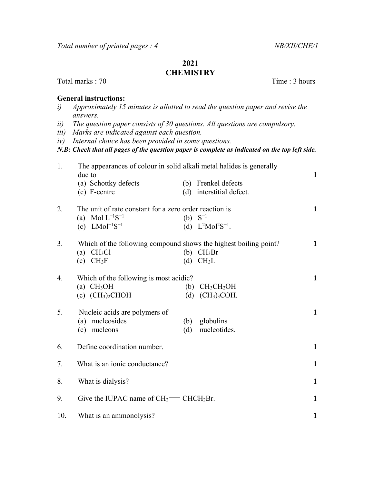## 2021 **CHEMISTRY**

Total marks : 70 Time : 3 hours

## General instructions:

- i) Approximately 15 minutes is allotted to read the question paper and revise the answers.
- ii) The question paper consists of 30 questions. All questions are compulsory.
- iii) Marks are indicated against each question.
- iv) Internal choice has been provided in some questions.

N.B: Check that all pages of the question paper is complete as indicated on the top left side.

| 1.  | The appearances of colour in solid alkali metal halides is generally<br>due to |              |                                                 |              |
|-----|--------------------------------------------------------------------------------|--------------|-------------------------------------------------|--------------|
|     | (a) Schottky defects<br>(c) F-centre                                           |              | (b) Frenkel defects<br>(d) interstitial defect. |              |
|     |                                                                                |              |                                                 |              |
| 2.  | The unit of rate constant for a zero order reaction is                         |              |                                                 | 1            |
|     | (a) Mol $L^{-1}S^{-1}$                                                         | (b) $S^{-1}$ |                                                 |              |
|     | (c) $LMol^{-1}S^{-1}$                                                          |              | (d) $L^2Mol^2S^{-1}$ .                          |              |
| 3.  | Which of the following compound shows the highest boiling point?               |              |                                                 | $\mathbf{1}$ |
|     | (a) $CH3Cl$                                                                    |              | $(b)$ CH <sub>3</sub> Br                        |              |
|     | $(c)$ CH <sub>3</sub> F                                                        | (d)          | $CH3I$ .                                        |              |
| 4.  | Which of the following is most acidic?                                         |              |                                                 | $\mathbf{1}$ |
|     | (a) $CH3OH$                                                                    | (b)          | CH <sub>3</sub> CH <sub>2</sub> OH              |              |
|     | $(c)$ $(CH3)2CHOH$                                                             | (d)          | (CH <sub>3</sub> ) <sub>3</sub> COH.            |              |
| 5.  | Nucleic acids are polymers of                                                  |              |                                                 | $\mathbf{1}$ |
|     | (a) nucleosides                                                                | (b)          | globulins                                       |              |
|     | (c) nucleons                                                                   | (d)          | nucleotides.                                    |              |
| 6.  | Define coordination number.                                                    |              |                                                 | $\mathbf{1}$ |
|     |                                                                                |              |                                                 |              |
| 7.  | What is an ionic conductance?                                                  |              |                                                 | $\mathbf{1}$ |
| 8.  | What is dialysis?                                                              |              |                                                 | $\mathbf{1}$ |
| 9.  | Give the IUPAC name of $CH_2 \equiv CHCH_2Br$ .                                |              |                                                 | 1            |
| 10. | What is an ammonolysis?                                                        |              |                                                 | $\mathbf{1}$ |
|     |                                                                                |              |                                                 |              |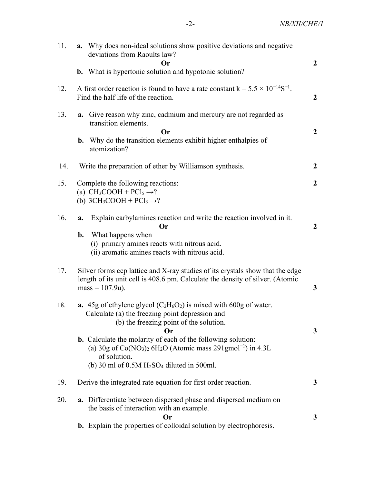| 11. | <b>a.</b> Why does non-ideal solutions show positive deviations and negative<br>deviations from Raoults law?<br>Or                                                                                                    | $\overline{2}$   |
|-----|-----------------------------------------------------------------------------------------------------------------------------------------------------------------------------------------------------------------------|------------------|
|     | <b>b.</b> What is hypertonic solution and hypotonic solution?                                                                                                                                                         |                  |
| 12. | A first order reaction is found to have a rate constant $k = 5.5 \times 10^{-14}S^{-1}$ .<br>Find the half life of the reaction.                                                                                      | $\mathbf{2}$     |
| 13. | <b>a.</b> Give reason why zinc, cadmium and mercury are not regarded as<br>transition elements.<br><b>Or</b>                                                                                                          | $\overline{2}$   |
|     | <b>b.</b> Why do the transition elements exhibit higher enthalpies of<br>atomization?                                                                                                                                 |                  |
| 14. | Write the preparation of ether by Williamson synthesis.                                                                                                                                                               | $\overline{2}$   |
| 15. | Complete the following reactions:<br>(a) $CH_3COOH + PCl_5 \rightarrow ?$<br>(b) $3CH_3COOH + PCI_3 \rightarrow ?$                                                                                                    | $\boldsymbol{2}$ |
| 16. | Explain carbylamines reaction and write the reaction involved in it.<br>a.<br>Or<br>What happens when<br>b.<br>(i) primary amines reacts with nitrous acid.<br>(ii) aromatic amines reacts with nitrous acid.         | $\boldsymbol{2}$ |
| 17. | Silver forms ccp lattice and X-ray studies of its crystals show that the edge<br>length of its unit cell is 408.6 pm. Calculate the density of silver. (Atomic<br>$mass = 107.9u$ .                                   | $\mathbf{3}$     |
| 18. | <b>a.</b> 45g of ethylene glycol $(C_2H_6O_2)$ is mixed with 600g of water.<br>Calculate (a) the freezing point depression and<br>(b) the freezing point of the solution.<br><b>Or</b>                                | 3                |
|     | b. Calculate the molarity of each of the following solution:<br>(a) 30g of $Co(NO_3)_2$ 6H <sub>2</sub> O (Atomic mass 291gmol <sup>-1</sup> ) in 4.3L<br>of solution.<br>(b) 30 ml of $0.5M H2SO4$ diluted in 500ml. |                  |
| 19. | Derive the integrated rate equation for first order reaction.                                                                                                                                                         | 3                |
| 20. | <b>a.</b> Differentiate between dispersed phase and dispersed medium on<br>the basis of interaction with an example.                                                                                                  |                  |
|     | Or<br><b>b.</b> Explain the properties of colloidal solution by electrophoresis.                                                                                                                                      | 3                |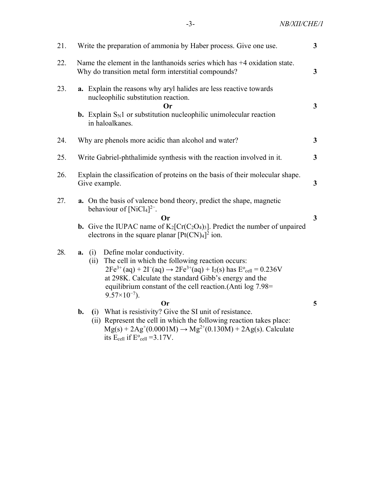-3- NB/XII/CHE/1

| 21. | $\overline{3}$<br>Write the preparation of ammonia by Haber process. Give one use.                                                                                                                                                                                                                                                                               |                         |  |  |  |
|-----|------------------------------------------------------------------------------------------------------------------------------------------------------------------------------------------------------------------------------------------------------------------------------------------------------------------------------------------------------------------|-------------------------|--|--|--|
| 22. | Name the element in the lanthanoids series which has +4 oxidation state.<br>Why do transition metal form interstitial compounds?                                                                                                                                                                                                                                 | $\mathbf{3}$            |  |  |  |
| 23. | a. Explain the reasons why aryl halides are less reactive towards<br>nucleophilic substitution reaction.<br>Оr<br><b>b.</b> Explain $S_N1$ or substitution nucleophilic unimolecular reaction<br>in haloalkanes.                                                                                                                                                 | 3 <sup>1</sup>          |  |  |  |
| 24. | Why are phenols more acidic than alcohol and water?                                                                                                                                                                                                                                                                                                              | $\mathbf{3}$            |  |  |  |
| 25. | $\mathbf{3}$<br>Write Gabriel-phthalimide synthesis with the reaction involved in it.                                                                                                                                                                                                                                                                            |                         |  |  |  |
| 26. | Explain the classification of proteins on the basis of their molecular shape.<br>3<br>Give example.                                                                                                                                                                                                                                                              |                         |  |  |  |
| 27. | <b>a.</b> On the basis of valence bond theory, predict the shape, magnetic<br>behaviour of $[NiCl4]^{2-}$ .<br><b>Or</b><br><b>b.</b> Give the IUPAC name of $K_2[Cr(C_2O_4)_3]$ . Predict the number of unpaired<br>electrons in the square planar $[Pt(CN)4]^{2}$ ion.                                                                                         | $\overline{\mathbf{3}}$ |  |  |  |
| 28. | Define molar conductivity.<br>(i)<br>a.<br>The cell in which the following reaction occurs:<br>(ii)<br>$2Fe^{3+}(aq) + 2I^{-}(aq) \rightarrow 2Fe^{3+}(aq) + I_{2}(s)$ has $E^{\circ}_{cell} = 0.236V$<br>at 298K. Calculate the standard Gibb's energy and the<br>equilibrium constant of the cell reaction. (Anti $log 7.98 =$<br>$9.57\times10^{-7}$ ).<br>Оr | 5 <sup>5</sup>          |  |  |  |
|     | (i) What is resistivity? Give the SI unit of resistance.<br>b.<br>(ii) Represent the cell in which the following reaction takes place:<br>$Mg(s) + 2Ag^{(0.0001M)} \rightarrow Mg^{2+}(0.130M) + 2Ag(s)$ . Calculate<br>its $E_{cell}$ if $E^{\circ}_{cell} = 3.17V$ .                                                                                           |                         |  |  |  |